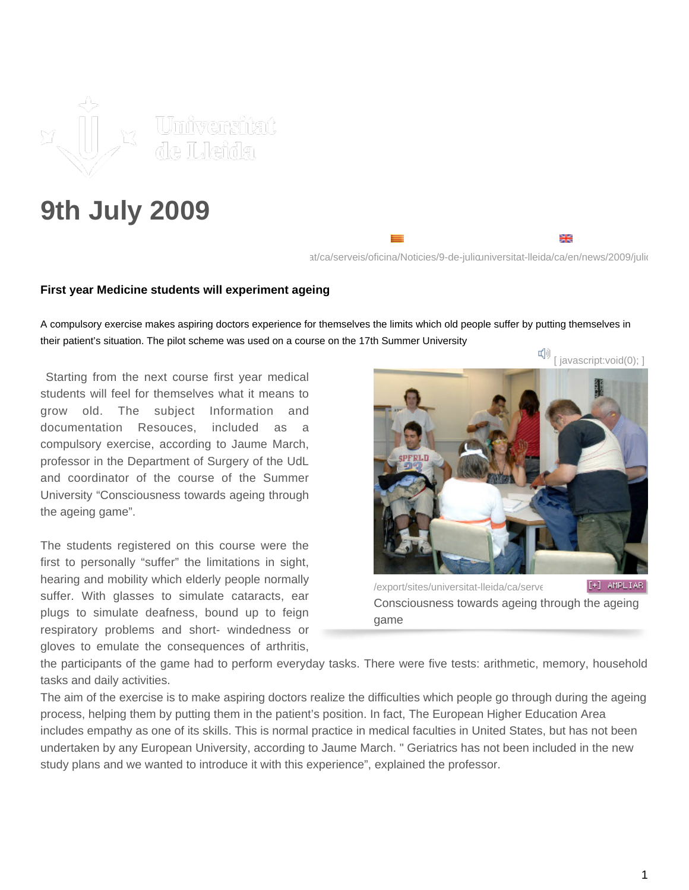

## **9th July 2009**

[at/ca/serveis/oficina/Noticies/9-de-julio](https://www.udl.cat/ca/serveis/oficina/Noticies/9-de-juliol-de-2009-00001/)niversitat-lleida/ca/en/news/2009/juliol

₩

## **First year Medicine students will experiment ageing**

A compulsory exercise makes aspiring doctors experience for themselves the limits which old people suffer by putting themselves in their patient's situation. The pilot scheme was used on a course on the 17th Summer University

 Starting from the next course first year medical students will feel for themselves what it means to grow old. The subject Information and documentation Resouces, included as a compulsory exercise, according to Jaume March, professor in the Department of Surgery of the UdL and coordinator of the course of the Summer University "Consciousness towards ageing through the ageing game".

The students registered on this course were the first to personally "suffer" the limitations in sight, hearing and mobility which elderly people normally suffer. With glasses to simulate cataracts, ear plugs to simulate deafness, bound up to feign respiratory problems and short- windedness or gloves to emulate the consequences of arthritis,



/export/sites/universitat-lleida/ca/serveisional.callering-premare Consciousness towards ageing through the ageing game

the participants of the game had to perform everyday tasks. There were five tests: arithmetic, memory, household tasks and daily activities.

The aim of the exercise is to make aspiring doctors realize the difficulties which people go through during the ageing process, helping them by putting them in the patient's position. In fact, The European Higher Education Area includes empathy as one of its skills. This is normal practice in medical faculties in United States, but has not been undertaken by any European University, according to Jaume March. " Geriatrics has not been included in the new study plans and we wanted to introduce it with this experience", explained the professor.